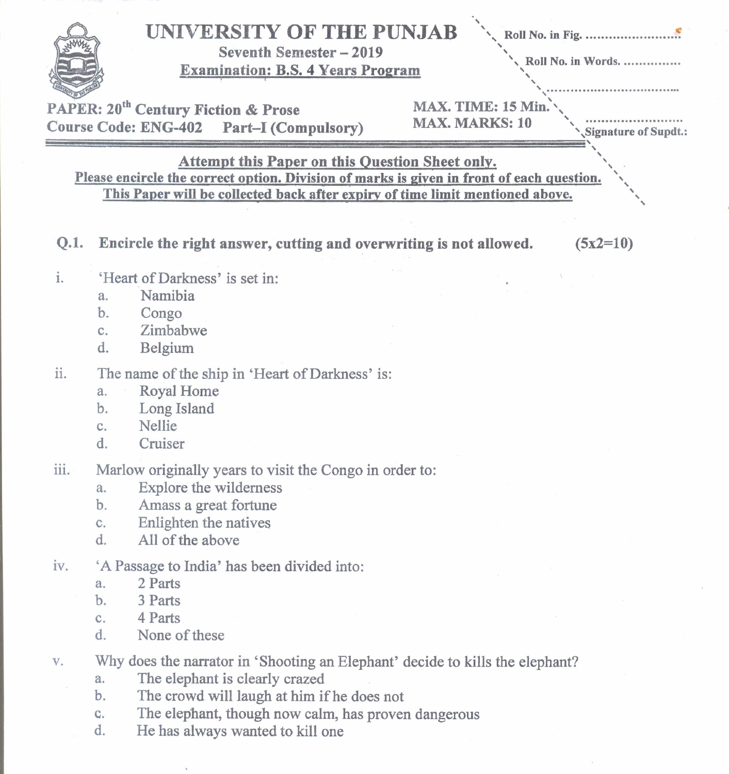|                                                                                                                                                                                                                                      | UNIVERSITY OF THE PUNJAB<br>Seventh Semester - 2019<br>Roll No. in Words.<br><b>Examination: B.S. 4 Years Program</b><br>MAX. TIME: 15 Min.<br><b>PAPER: 20<sup>th</sup> Century Fiction &amp; Prose</b><br><b>MAX. MARKS: 10</b><br>Course Code: ENG-402 Part-I (Compulsory)<br>Signature of Supdt.: |  |  |
|--------------------------------------------------------------------------------------------------------------------------------------------------------------------------------------------------------------------------------------|-------------------------------------------------------------------------------------------------------------------------------------------------------------------------------------------------------------------------------------------------------------------------------------------------------|--|--|
| <b>Attempt this Paper on this Question Sheet only.</b><br>Please encircle the correct option. Division of marks is given in front of each question.<br>This Paper will be collected back after expiry of time limit mentioned above. |                                                                                                                                                                                                                                                                                                       |  |  |
| Q.1.                                                                                                                                                                                                                                 | Encircle the right answer, cutting and overwriting is not allowed.<br>$(5x2=10)$                                                                                                                                                                                                                      |  |  |
| i.                                                                                                                                                                                                                                   | 'Heart of Darkness' is set in:<br>Namibia<br>a <sub>1</sub><br>b.<br>Congo<br>Zimbabwe<br>$C_{\star}$<br>d.<br>Belgium                                                                                                                                                                                |  |  |
| ii.                                                                                                                                                                                                                                  | The name of the ship in 'Heart of Darkness' is:<br><b>Royal Home</b><br>a.<br>Long Island<br>b.<br>Nellie<br>C.<br>$d_{\cdot}$<br>Cruiser                                                                                                                                                             |  |  |
| iii.                                                                                                                                                                                                                                 | Marlow originally years to visit the Congo in order to:<br>Explore the wilderness<br>$a_{-}$<br>Amass a great fortune<br>$\mathbf b$ .<br>Enlighten the natives<br>$C_{-}$<br>All of the above<br>d.                                                                                                  |  |  |
| iv.                                                                                                                                                                                                                                  | 'A Passage to India' has been divided into:<br>2 Parts<br>a.<br>$\mathbf b$ .<br>3 Parts<br>4 Parts<br>C <sub>1</sub><br>d.<br>None of these                                                                                                                                                          |  |  |
| $\mathbf{V}$ .                                                                                                                                                                                                                       | Why does the narrator in 'Shooting an Elephant' decide to kills the elephant?<br>The elephant is clearly crazed<br>a.<br>The crowd will laugh at him if he does not<br>b.                                                                                                                             |  |  |

- c. The elephant, though now calm, has proven dangerous
- d. He has always wanted to kill one

 $\mathbf{v}$